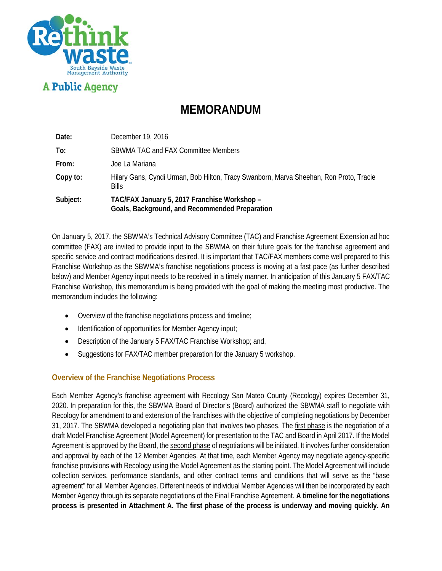

**A Public Agency** 

# **MEMORANDUM**

| Date:    | December 19, 2016                                                                                      |
|----------|--------------------------------------------------------------------------------------------------------|
| To:      | SBWMA TAC and FAX Committee Members                                                                    |
| From:    | Joe La Mariana                                                                                         |
| Copy to: | Hilary Gans, Cyndi Urman, Bob Hilton, Tracy Swanborn, Marva Sheehan, Ron Proto, Tracie<br><b>Bills</b> |
| Subject: | TAC/FAX January 5, 2017 Franchise Workshop -<br>Goals, Background, and Recommended Preparation         |

On January 5, 2017, the SBWMA's Technical Advisory Committee (TAC) and Franchise Agreement Extension ad hoc committee (FAX) are invited to provide input to the SBWMA on their future goals for the franchise agreement and specific service and contract modifications desired. It is important that TAC/FAX members come well prepared to this Franchise Workshop as the SBWMA's franchise negotiations process is moving at a fast pace (as further described below) and Member Agency input needs to be received in a timely manner. In anticipation of this January 5 FAX/TAC Franchise Workshop, this memorandum is being provided with the goal of making the meeting most productive. The memorandum includes the following:

- Overview of the franchise negotiations process and timeline;
- Identification of opportunities for Member Agency input;
- Description of the January 5 FAX/TAC Franchise Workshop; and,
- Suggestions for FAX/TAC member preparation for the January 5 workshop.

#### **Overview of the Franchise Negotiations Process**

Each Member Agency's franchise agreement with Recology San Mateo County (Recology) expires December 31, 2020. In preparation for this, the SBWMA Board of Director's (Board) authorized the SBWMA staff to negotiate with Recology for amendment to and extension of the franchises with the objective of completing negotiations by December 31, 2017. The SBWMA developed a negotiating plan that involves two phases. The first phase is the negotiation of a draft Model Franchise Agreement (Model Agreement) for presentation to the TAC and Board in April 2017. If the Model Agreement is approved by the Board, the second phase of negotiations will be initiated. It involves further consideration and approval by each of the 12 Member Agencies. At that time, each Member Agency may negotiate agency-specific franchise provisions with Recology using the Model Agreement as the starting point. The Model Agreement will include collection services, performance standards, and other contract terms and conditions that will serve as the "base agreement" for all Member Agencies. Different needs of individual Member Agencies will then be incorporated by each Member Agency through its separate negotiations of the Final Franchise Agreement. **A timeline for the negotiations process is presented in Attachment A. The first phase of the process is underway and moving quickly. An**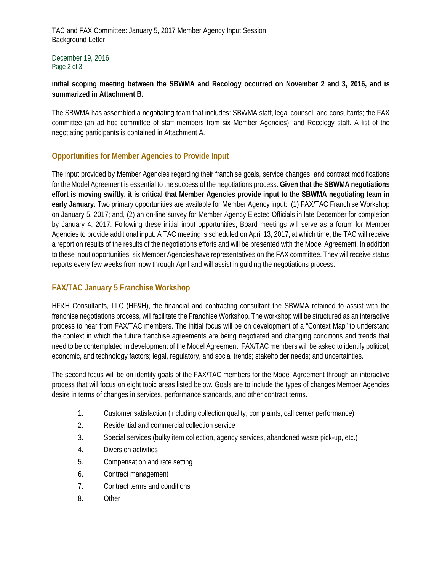TAC and FAX Committee: January 5, 2017 Member Agency Input Session Background Letter

December 19, 2016 Page 2 of 3

#### **initial scoping meeting between the SBWMA and Recology occurred on November 2 and 3, 2016, and is summarized in Attachment B.**

The SBWMA has assembled a negotiating team that includes: SBWMA staff, legal counsel, and consultants; the FAX committee (an ad hoc committee of staff members from six Member Agencies), and Recology staff. A list of the negotiating participants is contained in Attachment A.

### **Opportunities for Member Agencies to Provide Input**

The input provided by Member Agencies regarding their franchise goals, service changes, and contract modifications for the Model Agreement is essential to the success of the negotiations process. **Given that the SBWMA negotiations effort is moving swiftly, it is critical that Member Agencies provide input to the SBWMA negotiating team in early January.** Two primary opportunities are available for Member Agency input: (1) FAX/TAC Franchise Workshop on January 5, 2017; and, (2) an on-line survey for Member Agency Elected Officials in late December for completion by January 4, 2017. Following these initial input opportunities, Board meetings will serve as a forum for Member Agencies to provide additional input. A TAC meeting is scheduled on April 13, 2017, at which time, the TAC will receive a report on results of the results of the negotiations efforts and will be presented with the Model Agreement. In addition to these input opportunities, six Member Agencies have representatives on the FAX committee. They will receive status reports every few weeks from now through April and will assist in guiding the negotiations process.

## **FAX/TAC January 5 Franchise Workshop**

HF&H Consultants, LLC (HF&H), the financial and contracting consultant the SBWMA retained to assist with the franchise negotiations process, will facilitate the Franchise Workshop. The workshop will be structured as an interactive process to hear from FAX/TAC members. The initial focus will be on development of a "Context Map" to understand the context in which the future franchise agreements are being negotiated and changing conditions and trends that need to be contemplated in development of the Model Agreement. FAX/TAC members will be asked to identify political, economic, and technology factors; legal, regulatory, and social trends; stakeholder needs; and uncertainties.

The second focus will be on identify goals of the FAX/TAC members for the Model Agreement through an interactive process that will focus on eight topic areas listed below. Goals are to include the types of changes Member Agencies desire in terms of changes in services, performance standards, and other contract terms.

- 1. Customer satisfaction (including collection quality, complaints, call center performance)
- 2. Residential and commercial collection service
- 3. Special services (bulky item collection, agency services, abandoned waste pick-up, etc.)
- 4. Diversion activities
- 5. Compensation and rate setting
- 6. Contract management
- 7. Contract terms and conditions
- 8. Other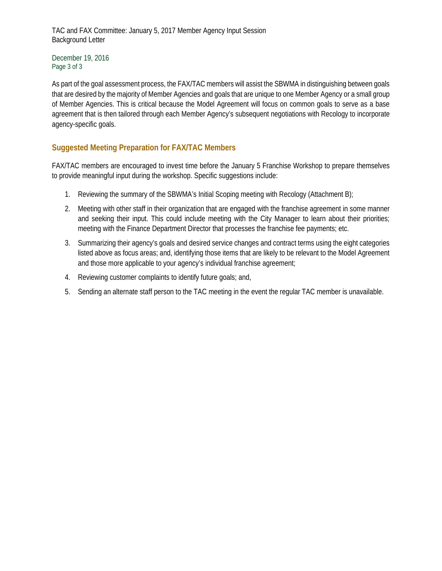TAC and FAX Committee: January 5, 2017 Member Agency Input Session Background Letter

December 19, 2016 Page 3 of 3

As part of the goal assessment process, the FAX/TAC members will assist the SBWMA in distinguishing between goals that are desired by the majority of Member Agencies and goals that are unique to one Member Agency or a small group of Member Agencies. This is critical because the Model Agreement will focus on common goals to serve as a base agreement that is then tailored through each Member Agency's subsequent negotiations with Recology to incorporate agency-specific goals.

### **Suggested Meeting Preparation for FAX/TAC Members**

FAX/TAC members are encouraged to invest time before the January 5 Franchise Workshop to prepare themselves to provide meaningful input during the workshop. Specific suggestions include:

- 1. Reviewing the summary of the SBWMA's Initial Scoping meeting with Recology (Attachment B);
- 2. Meeting with other staff in their organization that are engaged with the franchise agreement in some manner and seeking their input. This could include meeting with the City Manager to learn about their priorities; meeting with the Finance Department Director that processes the franchise fee payments; etc.
- 3. Summarizing their agency's goals and desired service changes and contract terms using the eight categories listed above as focus areas; and, identifying those items that are likely to be relevant to the Model Agreement and those more applicable to your agency's individual franchise agreement;
- 4. Reviewing customer complaints to identify future goals; and,
- 5. Sending an alternate staff person to the TAC meeting in the event the regular TAC member is unavailable.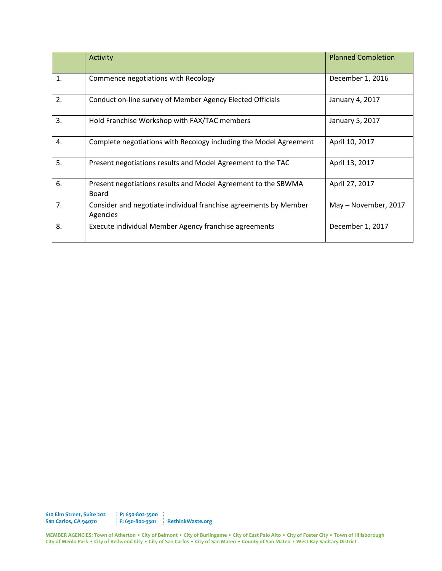|                | <b>Activity</b>                                                               | <b>Planned Completion</b> |
|----------------|-------------------------------------------------------------------------------|---------------------------|
| $\mathbf{1}$ . | Commence negotiations with Recology                                           | December 1, 2016          |
| 2.             | Conduct on-line survey of Member Agency Elected Officials                     | January 4, 2017           |
| 3.             | Hold Franchise Workshop with FAX/TAC members                                  | January 5, 2017           |
| 4.             | Complete negotiations with Recology including the Model Agreement             | April 10, 2017            |
| 5.             | Present negotiations results and Model Agreement to the TAC                   | April 13, 2017            |
| 6.             | Present negotiations results and Model Agreement to the SBWMA<br><b>Board</b> | April 27, 2017            |
| 7.             | Consider and negotiate individual franchise agreements by Member<br>Agencies  | May - November, 2017      |
| 8.             | Execute individual Member Agency franchise agreements                         | December 1, 2017          |